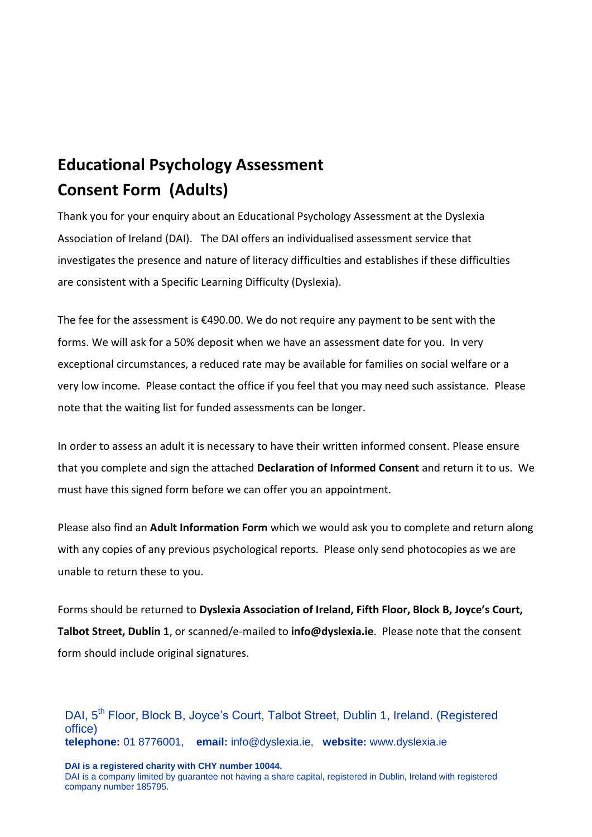# **Educational Psychology Assessment Consent Form (Adults)**

Thank you for your enquiry about an Educational Psychology Assessment at the Dyslexia Association of Ireland (DAI). The DAI offers an individualised assessment service that investigates the presence and nature of literacy difficulties and establishes if these difficulties are consistent with a Specific Learning Difficulty (Dyslexia).

The fee for the assessment is €490.00. We do not require any payment to be sent with the forms. We will ask for a 50% deposit when we have an assessment date for you. In very exceptional circumstances, a reduced rate may be available for families on social welfare or a very low income. Please contact the office if you feel that you may need such assistance. Please note that the waiting list for funded assessments can be longer.

In order to assess an adult it is necessary to have their written informed consent. Please ensure that you complete and sign the attached **Declaration of Informed Consent** and return it to us. We must have this signed form before we can offer you an appointment.

Please also find an **Adult Information Form** which we would ask you to complete and return along with any copies of any previous psychological reports. Please only send photocopies as we are unable to return these to you.

Forms should be returned to **Dyslexia Association of Ireland, Fifth Floor, Block B, Joyce's Court, Talbot Street, Dublin 1**, or scanned/e-mailed to **info@dyslexia.ie**. Please note that the consent form should include original signatures.

DAI, 5<sup>th</sup> Floor, Block B, Joyce's Court, Talbot Street, Dublin 1, Ireland. (Registered office) **telephone:** 01 8776001, **email:** info@dyslexia.ie, **website:** www.dyslexia.ie

**DAI is a registered charity with CHY number 10044.**

DAI is a company limited by guarantee not having a share capital, registered in Dublin, Ireland with registered company number 185795.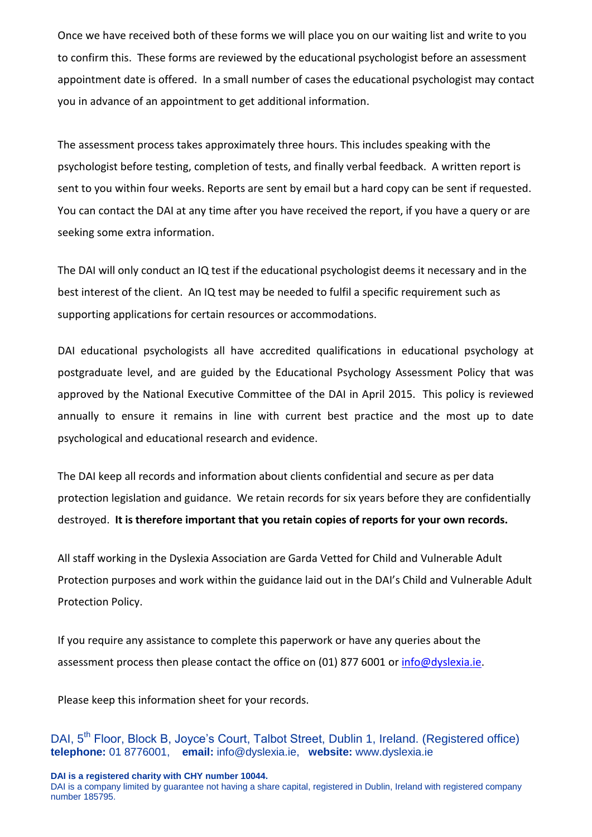Once we have received both of these forms we will place you on our waiting list and write to you to confirm this. These forms are reviewed by the educational psychologist before an assessment appointment date is offered. In a small number of cases the educational psychologist may contact you in advance of an appointment to get additional information.

The assessment process takes approximately three hours. This includes speaking with the psychologist before testing, completion of tests, and finally verbal feedback. A written report is sent to you within four weeks. Reports are sent by email but a hard copy can be sent if requested. You can contact the DAI at any time after you have received the report, if you have a query or are seeking some extra information.

The DAI will only conduct an IQ test if the educational psychologist deems it necessary and in the best interest of the client. An IQ test may be needed to fulfil a specific requirement such as supporting applications for certain resources or accommodations.

DAI educational psychologists all have accredited qualifications in educational psychology at postgraduate level, and are guided by the Educational Psychology Assessment Policy that was approved by the National Executive Committee of the DAI in April 2015. This policy is reviewed annually to ensure it remains in line with current best practice and the most up to date psychological and educational research and evidence.

The DAI keep all records and information about clients confidential and secure as per data protection legislation and guidance. We retain records for six years before they are confidentially destroyed. **It is therefore important that you retain copies of reports for your own records.** 

All staff working in the Dyslexia Association are Garda Vetted for Child and Vulnerable Adult Protection purposes and work within the guidance laid out in the DAI's Child and Vulnerable Adult Protection Policy.

If you require any assistance to complete this paperwork or have any queries about the assessment process then please contact the office on (01) 877 6001 or [info@dyslexia.ie.](mailto:info@dyslexia.ie)

Please keep this information sheet for your records.

DAI, 5<sup>th</sup> Floor, Block B, Joyce's Court, Talbot Street, Dublin 1, Ireland. (Registered office) **telephone:** 01 8776001, **email:** info@dyslexia.ie, **website:** www.dyslexia.ie

**DAI is a registered charity with CHY number 10044.**

DAI is a company limited by guarantee not having a share capital, registered in Dublin, Ireland with registered company number 185795.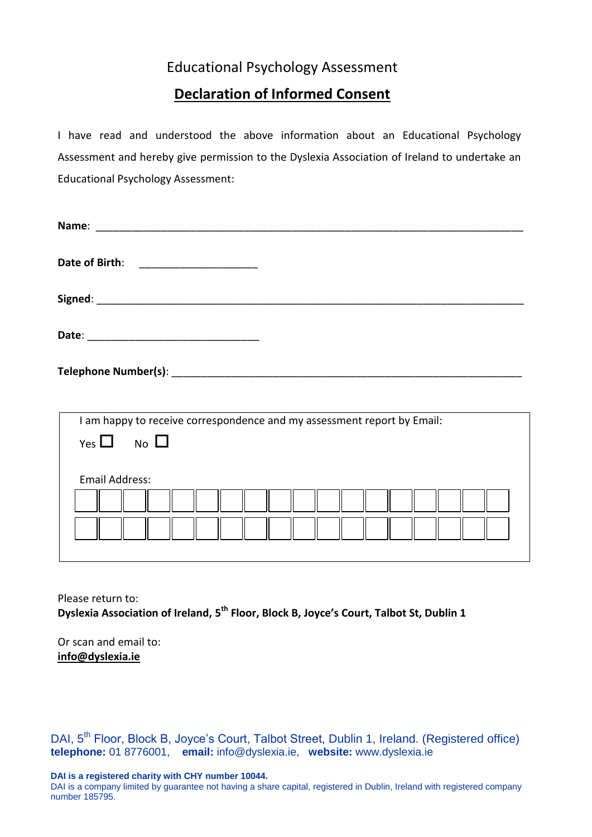### Educational Psychology Assessment

## **Declaration of Informed Consent**

I have read and understood the above information about an Educational Psychology Assessment and hereby give permission to the Dyslexia Association of Ireland to undertake an Educational Psychology Assessment:

| Date of Birth:                                                          |
|-------------------------------------------------------------------------|
|                                                                         |
|                                                                         |
|                                                                         |
|                                                                         |
| I am happy to receive correspondence and my assessment report by Email: |
| Yes $\Box$ No $\Box$                                                    |
| <b>Email Address:</b>                                                   |

Please return to: **Dyslexia Association of Ireland, 5 th Floor, Block B, Joyce's Court, Talbot St, Dublin 1**

Or scan and email to: **[info@dyslexia.ie](mailto:info@dyslexia.ie)**

DAI, 5<sup>th</sup> Floor, Block B, Joyce's Court, Talbot Street, Dublin 1, Ireland. (Registered office) **telephone:** 01 8776001, **email:** info@dyslexia.ie, **website:** www.dyslexia.ie

**DAI is a registered charity with CHY number 10044.**

DAI is a company limited by guarantee not having a share capital, registered in Dublin, Ireland with registered company number 185795.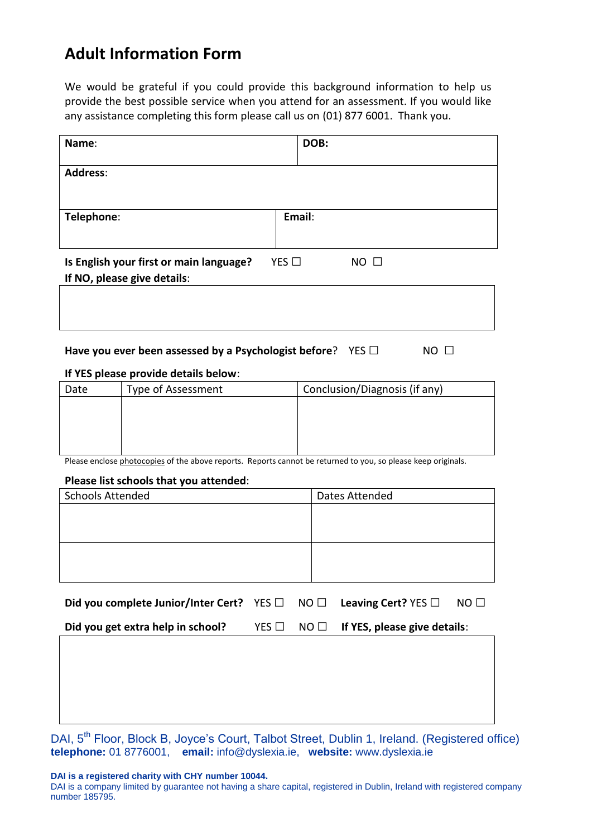## **Adult Information Form**

We would be grateful if you could provide this background information to help us provide the best possible service when you attend for an assessment. If you would like any assistance completing this form please call us on (01) 877 6001. Thank you.

| Name:                                                                      |                                                                        |               | DOB:           |                                                                                                               |    |  |
|----------------------------------------------------------------------------|------------------------------------------------------------------------|---------------|----------------|---------------------------------------------------------------------------------------------------------------|----|--|
| <b>Address:</b>                                                            |                                                                        |               |                |                                                                                                               |    |  |
| Telephone:                                                                 |                                                                        |               | Email:         |                                                                                                               |    |  |
|                                                                            | Is English your first or main language?<br>If NO, please give details: | YES $\Box$    |                | $NO$ $\Box$                                                                                                   |    |  |
|                                                                            |                                                                        |               |                |                                                                                                               |    |  |
| Have you ever been assessed by a Psychologist before? YES D<br>$NO$ $\Box$ |                                                                        |               |                |                                                                                                               |    |  |
| Date                                                                       | If YES please provide details below:<br>Type of Assessment             |               |                | Conclusion/Diagnosis (if any)                                                                                 |    |  |
|                                                                            | Please list schools that you attended:                                 |               |                | Please enclose photocopies of the above reports. Reports cannot be returned to you, so please keep originals. |    |  |
| <b>Schools Attended</b>                                                    |                                                                        |               |                | Dates Attended                                                                                                |    |  |
|                                                                            |                                                                        |               |                |                                                                                                               |    |  |
|                                                                            | Did you complete Junior/Inter Cert? YES □                              |               | $NO$ $\square$ | Leaving Cert? YES □                                                                                           | NO |  |
|                                                                            | Did you get extra help in school?                                      | YES $\square$ | $NO$ $\square$ | If YES, please give details:                                                                                  |    |  |
|                                                                            |                                                                        |               |                |                                                                                                               |    |  |

DAI, 5<sup>th</sup> Floor, Block B, Joyce's Court, Talbot Street, Dublin 1, Ireland. (Registered office) **telephone:** 01 8776001, **email:** info@dyslexia.ie, **website:** www.dyslexia.ie

**DAI is a registered charity with CHY number 10044.**

DAI is a company limited by guarantee not having a share capital, registered in Dublin, Ireland with registered company number 185795.